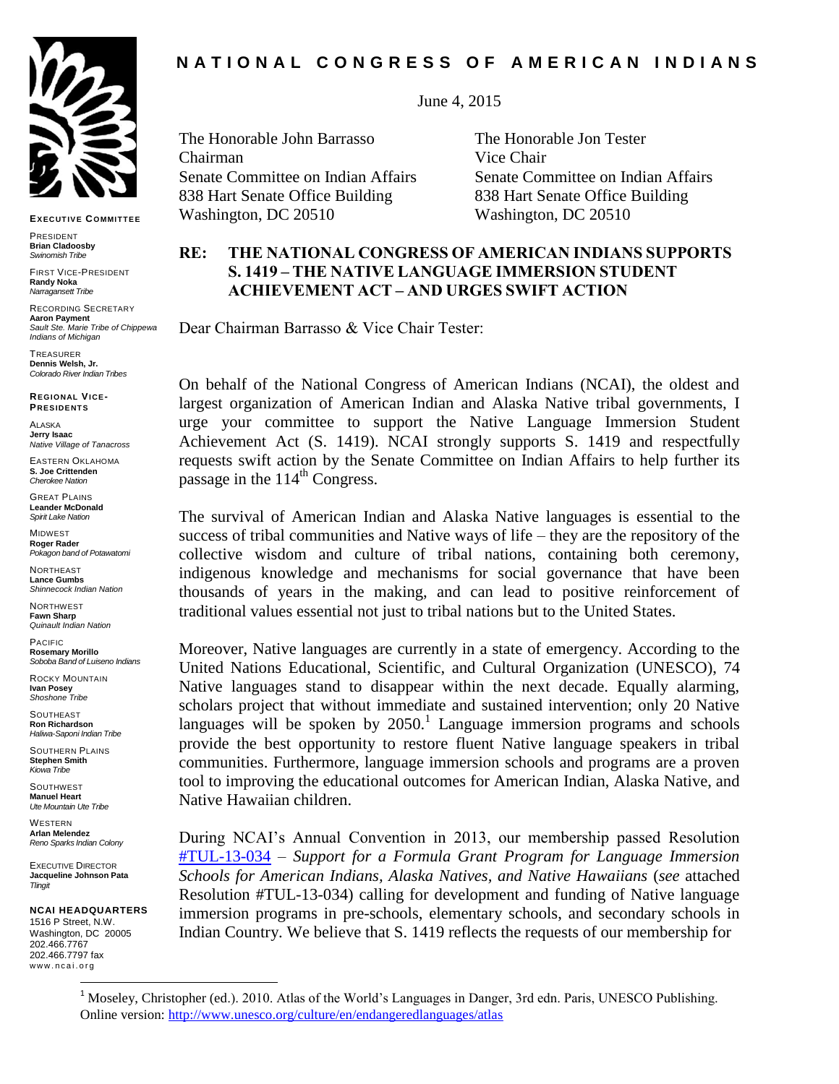

**EXECUT IVE COMMIT TEE**

PRESIDENT **Brian Cladoosby** *Swinomish Tribe*

FIRST VICE-PRESIDENT **Randy Noka** *Narragansett Tribe*

RECORDING SECRETARY **Aaron Payment** *Sault Ste. Marie Tribe of Chippewa Indians of Michigan*

**TREASURER Dennis Welsh, Jr.** *Colorado River Indian Tribes*

**REGIONAL VICE-PRESIDENT S**

**ALASKA Jerry Isaac** *Native Village of Tanacross*

EASTERN OKLAHOMA **S. Joe Crittenden** *Cherokee Nation*

GREAT PLAINS **Leander McDonald** *Spirit Lake Nation*

MIDWEST **Roger Rader** *Pokagon band of Potawatomi* 

**NORTHEAST Lance Gumbs** *Shinnecock Indian Nation*

NORTHWEST **Fawn Sharp** *Quinault Indian Nation*

PACIFIC **Rosemary Morillo** *Soboba Band of Luiseno Indians*

ROCKY MOUNTAIN **Ivan Posey** *Shoshone Tribe*

**SOUTHEAST Ron Richardson**

*Haliwa-Saponi Indian Tribe* SOUTHERN PLAINS **Stephen Smith** *Kiowa Tribe*

**SOUTHWEST Manuel Heart** *Ute Mountain Ute Tribe*

WESTERN **Arlan Melendez** *Reno Sparks Indian Colony*

EXECUTIVE DIRECTOR **Jacqueline Johnson Pata** *Tlingit*

**NCAI HEADQUARTERS** 1516 P Street, N.W. Washington, DC 20005 202.466.7767 202.466.7797 fax

l

www.ncai.org

# **N A T I O N A L C O N G R E S S O F A M E R I C A N I N D I A N S**

June 4, 2015

The Honorable John Barrasso The Honorable Jon Tester Chairman Vice Chair 838 Hart Senate Office Building 838 Hart Senate Office Building Washington, DC 20510 Washington, DC 20510

Senate Committee on Indian Affairs Senate Committee on Indian Affairs

## **RE: THE NATIONAL CONGRESS OF AMERICAN INDIANS SUPPORTS S. 1419 – THE NATIVE LANGUAGE IMMERSION STUDENT ACHIEVEMENT ACT – AND URGES SWIFT ACTION**

Dear Chairman Barrasso & Vice Chair Tester:

On behalf of the National Congress of American Indians (NCAI), the oldest and largest organization of American Indian and Alaska Native tribal governments, I urge your committee to support the Native Language Immersion Student Achievement Act (S. 1419). NCAI strongly supports S. 1419 and respectfully requests swift action by the Senate Committee on Indian Affairs to help further its passage in the  $114^{\text{th}}$  Congress.

The survival of American Indian and Alaska Native languages is essential to the success of tribal communities and Native ways of life – they are the repository of the collective wisdom and culture of tribal nations, containing both ceremony, indigenous knowledge and mechanisms for social governance that have been thousands of years in the making, and can lead to positive reinforcement of traditional values essential not just to tribal nations but to the United States.

Moreover, Native languages are currently in a state of emergency. According to the United Nations Educational, Scientific, and Cultural Organization (UNESCO), 74 Native languages stand to disappear within the next decade. Equally alarming, scholars project that without immediate and sustained intervention; only 20 Native languages will be spoken by  $2050$ .<sup>1</sup> Language immersion programs and schools provide the best opportunity to restore fluent Native language speakers in tribal communities. Furthermore, language immersion schools and programs are a proven tool to improving the educational outcomes for American Indian, Alaska Native, and Native Hawaiian children.

During NCAI's Annual Convention in 2013, our membership passed Resolution [#TUL-13-034](http://www.ncai.org/attachments/Resolution_IXQLRJJYilCJkCEgSPshJHhyaDkhiPlykIjwDARhJEEXJueJiwN_TUL-13-034%20Final.pdf) – *Support for a Formula Grant Program for Language Immersion Schools for American Indians, Alaska Natives, and Native Hawaiians* (*see* attached Resolution #TUL-13-034) calling for development and funding of Native language immersion programs in pre-schools, elementary schools, and secondary schools in Indian Country. We believe that S. 1419 reflects the requests of our membership for

<sup>&</sup>lt;sup>1</sup> Moseley, Christopher (ed.). 2010. Atlas of the World's Languages in Danger, 3rd edn. Paris, UNESCO Publishing. Online version: [http://www.unesco.org/culture/en/endangeredlanguages/atlas](http://www.unesco.org/culture/languages-atlas/en/atlasmap.html)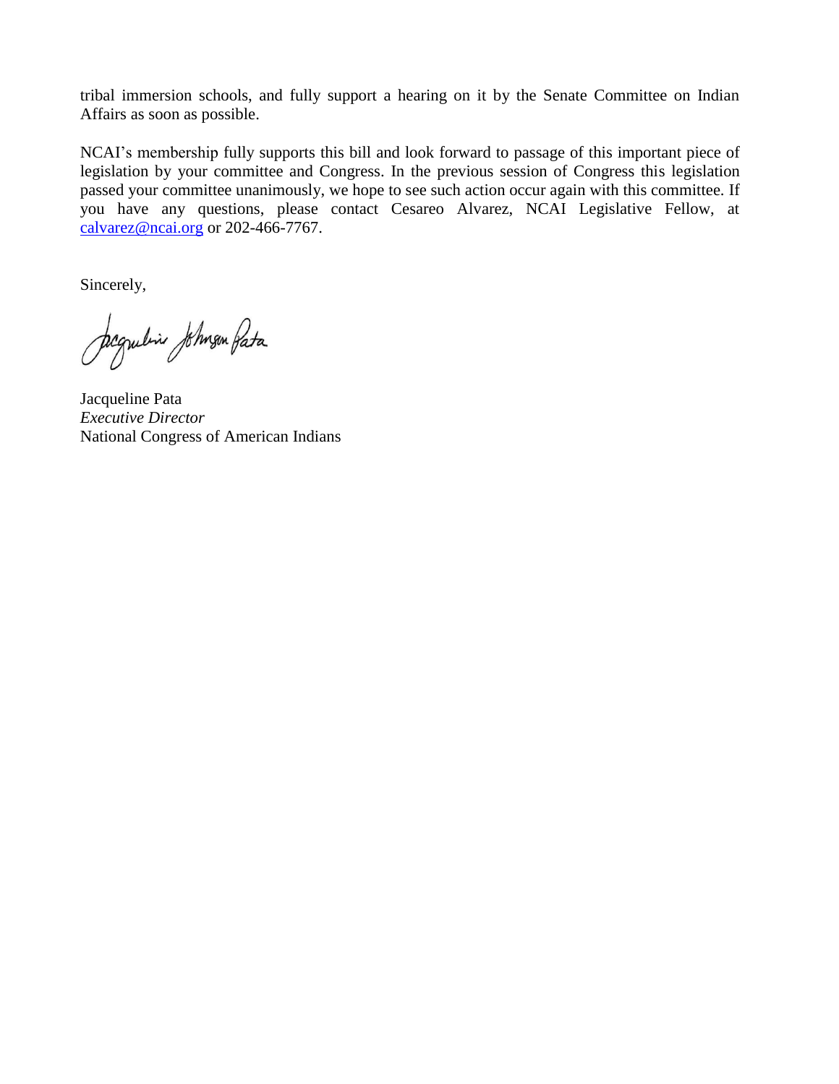tribal immersion schools, and fully support a hearing on it by the Senate Committee on Indian Affairs as soon as possible.

NCAI's membership fully supports this bill and look forward to passage of this important piece of legislation by your committee and Congress. In the previous session of Congress this legislation passed your committee unanimously, we hope to see such action occur again with this committee. If you have any questions, please contact Cesareo Alvarez, NCAI Legislative Fellow, at [calvarez@ncai.org](mailto:calvarez@ncai.org) or 202-466-7767.

Sincerely,

Jegulia Johnson Pata

Jacqueline Pata *Executive Director* National Congress of American Indians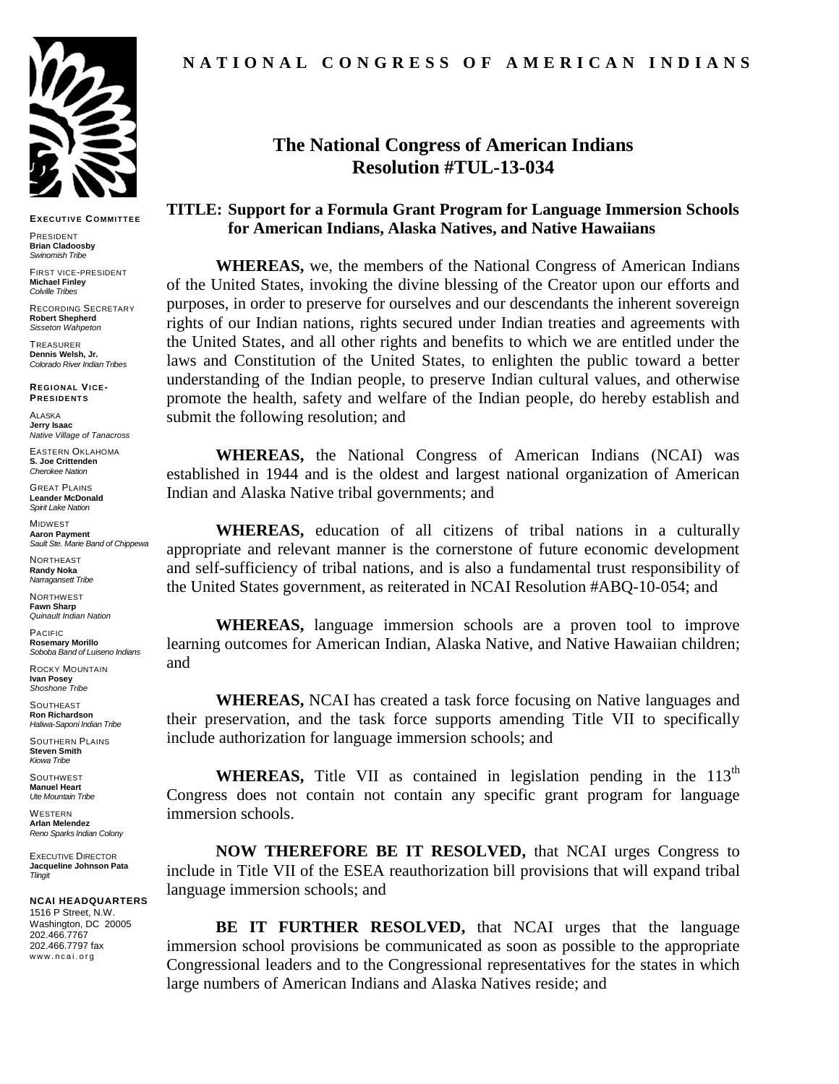

**EXECUT IVE COMMIT TEE**

PRESIDENT **Brian Cladoosby** *Swinomish Tribe*

FIRST VICE-PRESIDENT **Michael Finley** *Colville Tribes* 

RECORDING SECRETARY **Robert Shepherd** *Sisseton Wahpeton* 

**TREASURER Dennis Welsh, Jr.** *Colorado River Indian Tribes*

**REGIONAL VICE-PRESIDENT S**

ALASKA **Jerry Isaac** *Native Village of Tanacross*

EASTERN OKLAHOMA **S. Joe Crittenden** *Cherokee Nation*

GREAT PLAINS **Leander McDonald** *Spirit Lake Nation*

MIDWEST **Aaron Payment** *Sault Ste. Marie Band of Chippewa* 

NORTHEAST **Randy Noka** *Narragansett Tribe*

NORTHWEST **Fawn Sharp** *Quinault Indian Nation*

PACIFIC **Rosemary Morillo** *Soboba Band of Luiseno Indians*

ROCKY MOUNTAIN **Ivan Posey** *Shoshone Tribe*

**SOUTHEAST Ron Richardson** *Haliwa-Saponi Indian Tribe*

SOUTHERN PLAINS **Steven Smith** *Kiowa Tribe*

**SOUTHWEST Manuel Heart** *Ute Mountain Tribe*

WESTERN **Arlan Melendez** *Reno Sparks Indian Colony*

EXECUTIVE DIRECTOR **Jacqueline Johnson Pata** *Tlingit*

**NCAI HEADQUARTERS** 1516 P Street, N.W. Washington, DC 20005 202.466.7767 202.466.7797 fax www.ncai.org

### **N A T I O N A L C O N G R E S S O F A M E R I C A N I N D I A N S**

## **The National Congress of American Indians Resolution #TUL-13-034**

#### **TITLE: Support for a Formula Grant Program for Language Immersion Schools for American Indians, Alaska Natives, and Native Hawaiians**

**WHEREAS,** we, the members of the National Congress of American Indians of the United States, invoking the divine blessing of the Creator upon our efforts and purposes, in order to preserve for ourselves and our descendants the inherent sovereign rights of our Indian nations, rights secured under Indian treaties and agreements with the United States, and all other rights and benefits to which we are entitled under the laws and Constitution of the United States, to enlighten the public toward a better understanding of the Indian people, to preserve Indian cultural values, and otherwise promote the health, safety and welfare of the Indian people, do hereby establish and submit the following resolution; and

**WHEREAS,** the National Congress of American Indians (NCAI) was established in 1944 and is the oldest and largest national organization of American Indian and Alaska Native tribal governments; and

**WHEREAS,** education of all citizens of tribal nations in a culturally appropriate and relevant manner is the cornerstone of future economic development and self-sufficiency of tribal nations, and is also a fundamental trust responsibility of the United States government, as reiterated in NCAI Resolution #ABQ-10-054; and

**WHEREAS,** language immersion schools are a proven tool to improve learning outcomes for American Indian, Alaska Native, and Native Hawaiian children; and

**WHEREAS,** NCAI has created a task force focusing on Native languages and their preservation, and the task force supports amending Title VII to specifically include authorization for language immersion schools; and

**WHEREAS,** Title VII as contained in legislation pending in the  $113<sup>th</sup>$ Congress does not contain not contain any specific grant program for language immersion schools.

**NOW THEREFORE BE IT RESOLVED,** that NCAI urges Congress to include in Title VII of the ESEA reauthorization bill provisions that will expand tribal language immersion schools; and

**BE IT FURTHER RESOLVED,** that NCAI urges that the language immersion school provisions be communicated as soon as possible to the appropriate Congressional leaders and to the Congressional representatives for the states in which large numbers of American Indians and Alaska Natives reside; and